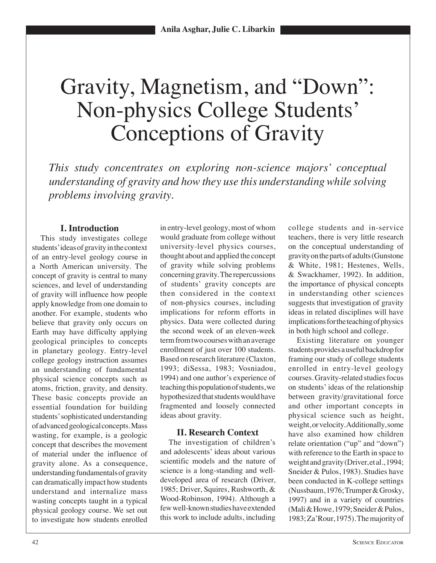# Gravity, Magnetism, and "Down": Non-physics College Students' Conceptions of Gravity

*This study concentrates on exploring non-science majors' conceptual understanding of gravity and how they use this understanding while solving problems involving gravity.*

## **I. Introduction**

This study investigates college students' ideas of gravity in the context of an entry-level geology course in a North American university. The concept of gravity is central to many sciences, and level of understanding of gravity will influence how people apply knowledge from one domain to another. For example, students who believe that gravity only occurs on Earth may have difficulty applying geological principles to concepts in planetary geology. Entry-level college geology instruction assumes an understanding of fundamental physical science concepts such as atoms, friction, gravity, and density. These basic concepts provide an essential foundation for building students' sophisticated understanding of advanced geological concepts. Mass wasting, for example, is a geologic concept that describes the movement of material under the influence of gravity alone. As a consequence, understanding fundamentals of gravity can dramatically impact how students understand and internalize mass wasting concepts taught in a typical physical geology course. We set out to investigate how students enrolled

in entry-level geology, most of whom would graduate from college without university-level physics courses, thought about and applied the concept of gravity while solving problems concerning gravity. The repercussions of students' gravity concepts are then considered in the context of non-physics courses, including implications for reform efforts in physics. Data were collected during the second week of an eleven-week term from two courses with an average enrollment of just over 100 students. Based on research literature (Claxton, 1993; diSessa, 1983; Vosniadou, 1994) and one author's experience of teaching this population of students, we hypothesized that students would have fragmented and loosely connected ideas about gravity.

## **II. Research Context**

The investigation of children's and adolescents' ideas about various scientific models and the nature of science is a long-standing and welldeveloped area of research (Driver, 1985; Driver, Squires, Rushworth, & Wood-Robinson, 1994). Although a few well-known studies have extended this work to include adults, including

college students and in-service teachers, there is very little research on the conceptual understanding of gravity on the parts of adults (Gunstone & White, 1981; Hestenes, Wells, & Swackhamer, 1992). In addition, the importance of physical concepts in understanding other sciences suggests that investigation of gravity ideas in related disciplines will have implications for the teaching of physics in both high school and college.

Existing literature on younger students provides a useful backdrop for framing our study of college students enrolled in entry-level geology courses. Gravity-related studies focus on students' ideas of the relationship between gravity/gravitational force and other important concepts in physical science such as height, weight, or velocity. Additionally, some have also examined how children relate orientation ("up" and "down") with reference to the Earth in space to weight and gravity (Driver, et al., 1994; Sneider & Pulos, 1983). Studies have been conducted in K-college settings (Nussbaum, 1976; Trumper & Grosky, 1997) and in a variety of countries (Mali & Howe, 1979; Sneider & Pulos, 1983; Za'Rour, 1975). The majority of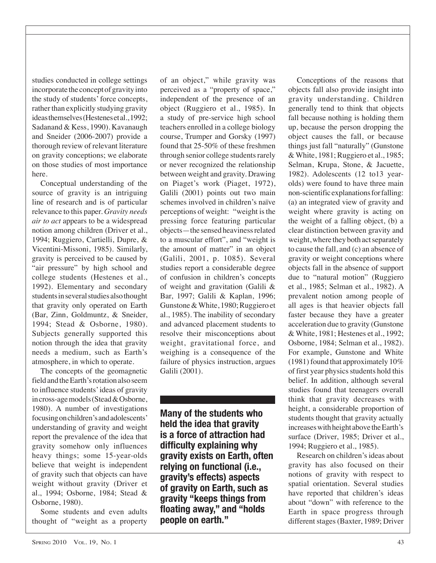studies conducted in college settings incorporate the concept of gravity into the study of students' force concepts, rather than explicitly studying gravity ideas themselves (Hestenes et al., 1992; Sadanand & Kess, 1990). Kavanaugh and Sneider (2006-2007) provide a thorough review of relevant literature on gravity conceptions; we elaborate on those studies of most importance here.

Conceptual understanding of the source of gravity is an intriguing line of research and is of particular relevance to this paper. *Gravity needs air to act* appears to be a widespread notion among children (Driver et al., 1994; Ruggiero, Cartielli, Dupre, & Vicentini-Missoni, 1985). Similarly, gravity is perceived to be caused by "air pressure" by high school and college students (Hestenes et al., 1992). Elementary and secondary students in several studies also thought that gravity only operated on Earth (Bar, Zinn, Goldmuntz, & Sneider, 1994; Stead & Osborne, 1980). Subjects generally supported this notion through the idea that gravity needs a medium, such as Earth's atmosphere, in which to operate.

The concepts of the geomagnetic field and the Earth's rotation also seem to influence students' ideas of gravity in cross-age models (Stead & Osborne, 1980). A number of investigations focusing on children's and adolescents' understanding of gravity and weight report the prevalence of the idea that gravity somehow only influences heavy things; some 15-year-olds believe that weight is independent of gravity such that objects can have weight without gravity (Driver et al., 1994; Osborne, 1984; Stead & Osborne, 1980).

Some students and even adults thought of "weight as a property of an object," while gravity was perceived as a "property of space," independent of the presence of an object (Ruggiero et al., 1985). In a study of pre-service high school teachers enrolled in a college biology course, Trumper and Gorsky (1997) found that 25-50% of these freshmen through senior college students rarely or never recognized the relationship between weight and gravity. Drawing on Piaget's work (Piaget, 1972), Galili (2001) points out two main schemes involved in children's naïve perceptions of weight: "weight is the pressing force featuring particular objects—the sensed heaviness related to a muscular effort", and "weight is the amount of matter" in an object (Galili, 2001, p. 1085). Several studies report a considerable degree of confusion in children's concepts of weight and gravitation (Galili & Bar, 1997; Galili & Kaplan, 1996; Gunstone & White, 1980; Ruggiero et al., 1985). The inability of secondary and advanced placement students to resolve their misconceptions about weight, gravitational force, and weighing is a consequence of the failure of physics instruction, argues Galili (2001).

**Many of the students who held the idea that gravity is a force of attraction had difficulty explaining why gravity exists on Earth, often relying on functional (i.e., gravity's effects) aspects of gravity on Earth, such as gravity "keeps things from floating away," and "holds people on earth."**

Conceptions of the reasons that objects fall also provide insight into gravity understanding. Children generally tend to think that objects fall because nothing is holding them up, because the person dropping the object causes the fall, or because things just fall "naturally" (Gunstone & White, 1981; Ruggiero et al., 1985; Selman, Krupa, Stone, & Jacuette, 1982). Adolescents (12 to13 yearolds) were found to have three main non-scientific explanations for falling: (a) an integrated view of gravity and weight where gravity is acting on the weight of a falling object, (b) a clear distinction between gravity and weight, where they both act separately to cause the fall, and (c) an absence of gravity or weight conceptions where objects fall in the absence of support due to "natural motion" (Ruggiero et al., 1985; Selman et al., 1982). A prevalent notion among people of all ages is that heavier objects fall faster because they have a greater acceleration due to gravity (Gunstone & White, 1981; Hestenes et al., 1992; Osborne, 1984; Selman et al., 1982). For example, Gunstone and White (1981) found that approximately 10% of first year physics students hold this belief. In addition, although several studies found that teenagers overall think that gravity decreases with height, a considerable proportion of students thought that gravity actually increases with height above the Earth's surface (Driver, 1985; Driver et al., 1994; Ruggiero et al., 1985).

Research on children's ideas about gravity has also focused on their notions of gravity with respect to spatial orientation. Several studies have reported that children's ideas about "down" with reference to the Earth in space progress through different stages (Baxter, 1989; Driver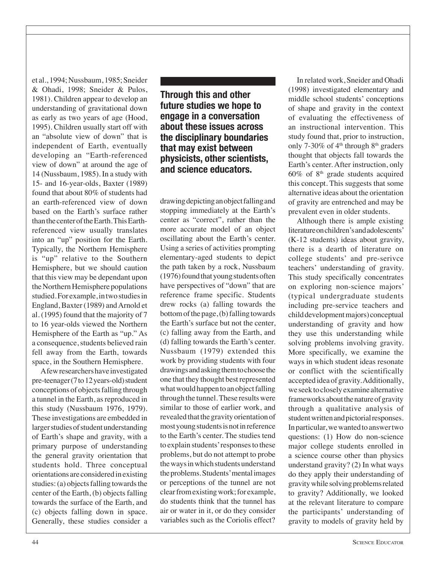et al., 1994; Nussbaum, 1985; Sneider & Ohadi, 1998; Sneider & Pulos, 1981). Children appear to develop an understanding of gravitational down as early as two years of age (Hood, 1995). Children usually start off with an "absolute view of down" that is independent of Earth, eventually developing an "Earth-referenced view of down" at around the age of 14 (Nussbaum, 1985). In a study with 15- and 16-year-olds, Baxter (1989) found that about 80% of students had an earth-referenced view of down based on the Earth's surface rather than the center of the Earth. This Earthreferenced view usually translates into an "up" position for the Earth. Typically, the Northern Hemisphere is "up" relative to the Southern Hemisphere, but we should caution that this view may be dependant upon the Northern Hemisphere populations studied. For example, in two studies in England, Baxter (1989) and Arnold et al. (1995) found that the majority of 7 to 16 year-olds viewed the Northern Hemisphere of the Earth as "up." As a consequence, students believed rain fell away from the Earth, towards space, in the Southern Hemisphere.

A few researchers have investigated pre-teenager (7 to 12 years-old) student conceptions of objects falling through a tunnel in the Earth, as reproduced in this study (Nussbaum 1976, 1979). These investigations are embedded in larger studies of student understanding of Earth's shape and gravity, with a primary purpose of understanding the general gravity orientation that students hold. Three conceptual orientations are considered in existing studies: (a) objects falling towards the center of the Earth, (b) objects falling towards the surface of the Earth, and (c) objects falling down in space. Generally, these studies consider a

## **Through this and other future studies we hope to engage in a conversation about these issues across the disciplinary boundaries that may exist between physicists, other scientists, and science educators.**

drawing depicting an object falling and stopping immediately at the Earth's center as "correct", rather than the more accurate model of an object oscillating about the Earth's center. Using a series of activities prompting elementary-aged students to depict the path taken by a rock, Nussbaum (1976) found that young students often have perspectives of "down" that are reference frame specific. Students drew rocks (a) falling towards the bottom of the page, (b) falling towards the Earth's surface but not the center, (c) falling away from the Earth, and (d) falling towards the Earth's center. Nussbaum (1979) extended this work by providing students with four drawings and asking them to choose the one that they thought best represented what would happen to an object falling through the tunnel. These results were similar to those of earlier work, and revealed that the gravity orientation of most young students is not in reference to the Earth's center. The studies tend to explain students' responses to these problems, but do not attempt to probe the ways in which students understand the problems. Students' mental images or perceptions of the tunnel are not clear from existing work; for example, do students think that the tunnel has air or water in it, or do they consider variables such as the Coriolis effect?

In related work, Sneider and Ohadi (1998) investigated elementary and middle school students' conceptions of shape and gravity in the context of evaluating the effectiveness of an instructional intervention. This study found that, prior to instruction, only 7-30% of  $4<sup>th</sup>$  through  $8<sup>th</sup>$  graders thought that objects fall towards the Earth's center. After instruction, only  $60\%$  of  $8<sup>th</sup>$  grade students acquired this concept. This suggests that some alternative ideas about the orientation of gravity are entrenched and may be prevalent even in older students.

Although there is ample existing literature on children's and adolescents' (K-12 students) ideas about gravity, there is a dearth of literature on college students' and pre-serivce teachers' understanding of gravity. This study specifically concentrates on exploring non-science majors' (typical undergraduate students including pre-service teachers and child development majors) conceptual understanding of gravity and how they use this understanding while solving problems involving gravity. More specifically, we examine the ways in which student ideas resonate or conflict with the scientifically accepted idea of gravity. Additionally, we seek to closely examine alternative frameworks about the nature of gravity through a qualitative analysis of student written and pictorial responses. In particular, we wanted to answer two questions: (1) How do non-science major college students enrolled in a science course other than physics understand gravity? (2) In what ways do they apply their understanding of gravity while solving problems related to gravity? Additionally, we looked at the relevant literature to compare the participants' understanding of gravity to models of gravity held by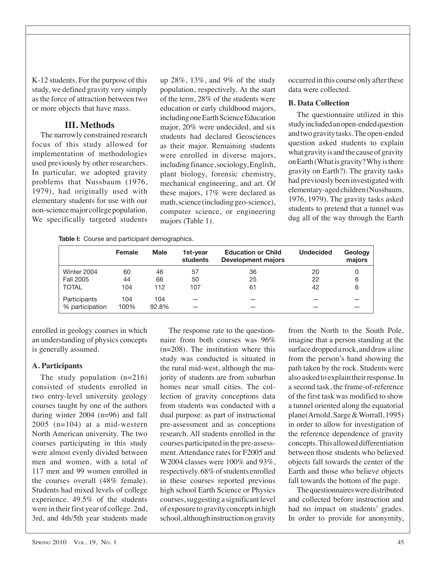K-12 students. For the purpose of this study, we defined gravity very simply as the force of attraction between two or more objects that have mass.

## **III. Methods**

The narrowly constrained research focus of this study allowed for implementation of methodologies used previously by other researchers. In particular, we adopted gravity problems that Nussbaum (1976, 1979), had originally used with elementary students for use with our non-science major college population. We specifically targeted students

up 28%, 13%, and 9% of the study population, respectively. At the start of the term, 28% of the students were education or early childhood majors, including one Earth Science Education major, 20% were undecided, and six students had declared Geosciences as their major. Remaining students were enrolled in diverse majors, including finance, sociology, English, plant biology, forensic chemistry, mechanical engineering, and art. Of these majors, 17% were declared as math, science (including geo-science), computer science, or engineering majors (Table 1).

occurred in this course only after these data were collected.

#### **B. Data Collection**

The questionnaire utilized in this study included an open-ended question and two gravity tasks. The open-ended question asked students to explain what gravity is and the cause of gravity on Earth (What is gravity? Why is there gravity on Earth?). The gravity tasks had previously been investigated with elementary-aged children (Nussbaum, 1976, 1979). The gravity tasks asked students to pretend that a tunnel was dug all of the way through the Earth

**Table I:** Course and participant demographics.

|                 | Female | <b>Male</b> | 1st-year<br>students | <b>Education or Child</b><br><b>Development majors</b> | <b>Undecided</b> | Geology<br>majors |
|-----------------|--------|-------------|----------------------|--------------------------------------------------------|------------------|-------------------|
| Winter 2004     | 60     | 46          | 57                   | 36                                                     | 20               | 0                 |
| Fall 2005       | 44     | 66          | 50                   | 25                                                     | 22               | 6                 |
| <b>TOTAL</b>    | 104    | 112         | 107                  | 61                                                     | 42               | 6                 |
| Participants    | 104    | 104         |                      |                                                        |                  |                   |
| % participation | 100%   | 92.8%       |                      |                                                        |                  |                   |

enrolled in geology courses in which an understanding of physics concepts is generally assumed.

### **A. Participants**

The study population (n=216) consisted of students enrolled in two entry-level university geology courses taught by one of the authors during winter 2004 (n=96) and fall 2005 (n=104) at a mid-western North American university. The two courses participating in this study were almost evenly divided between men and women, with a total of 117 men and 99 women enrolled in the courses overall (48% female). Students had mixed levels of college experience. 49.5% of the students were in their first year of college. 2nd, 3rd, and 4th/5th year students made

The response rate to the questionnaire from both courses was 96% (n=208). The institution where this study was conducted is situated in the rural mid-west, although the majority of students are from suburban homes near small cities. The collection of gravity conceptions data from students was conducted with a dual purpose: as part of instructional pre-assessment and as conceptions research. All students enrolled in the courses participated in the pre-assessment. Attendance rates for F2005 and W2004 classes were 100% and 93%, respectively. 68% of students enrolled in these courses reported previous high school Earth Science or Physics courses, suggesting a significant level of exposure to gravity concepts in high school, although instruction on gravity

from the North to the South Pole, imagine that a person standing at the surface dropped a rock, and draw a line from the person's hand showing the path taken by the rock. Students were also asked to explain their response. In a second task, the frame-of-reference of the first task was modified to show a tunnel oriented along the equatorial plane(Arnold, Sarge & Worrall, 1995) in order to allow for investigation of the reference dependence of gravity concepts. This allowed differentiation between those students who believed objects fall towards the center of the Earth and those who believe objects fall towards the bottom of the page.

The questionnaires were distributed and collected before instruction and had no impact on students' grades. In order to provide for anonymity,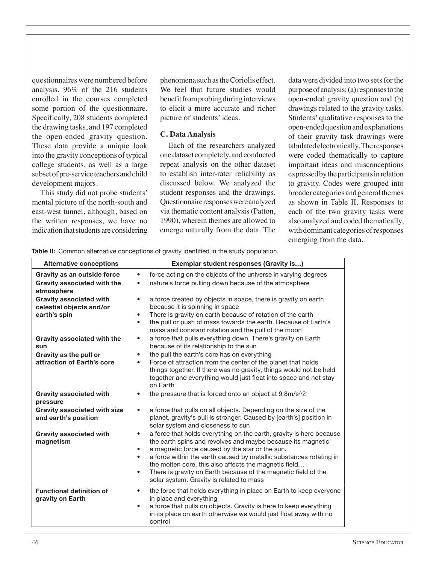questionnaires were numbered before analysis. 96% of the 216 students enrolled in the courses completed some portion of the questionnaire. Specifically, 208 students completed the drawing tasks, and 197 completed the open-ended gravity question. These data provide a unique look into the gravity conceptions of typical college students, as well as a large subset of pre-service teachers and child development majors.

This study did not probe students' mental picture of the north-south and east-west tunnel, although, based on the written responses, we have no indication that students are considering

phenomena such as the Coriolis effect. We feel that future studies would benefit from probing during interviews to elicit a more accurate and richer picture of students' ideas.

#### **C. Data Analysis**

Each of the researchers analyzed one dataset completely, and conducted repeat analysis on the other dataset to establish inter-rater reliability as discussed below. We analyzed the student responses and the drawings. Questionnaire responses were analyzed via thematic content analysis (Patton, 1990), wherein themes are allowed to emerge naturally from the data. The

data were divided into two sets for the purpose of analysis: (a) responses to the open-ended gravity question and (b) drawings related to the gravity tasks. Students' qualitative responses to the open-ended question and explanations of their gravity task drawings were tabulated electronically. The responses were coded thematically to capture important ideas and misconceptions expressed by the participants in relation to gravity. Codes were grouped into broader categories and general themes as shown in Table II. Responses to each of the two gravity tasks were also analyzed and coded thematically, with dominant categories of responses emerging from the data.

**Table II:** Common alternative conceptions of gravity identified in the study population.

| <b>Alternative conceptions</b>                                                  | Exemplar student responses (Gravity is)                                                                                                                                                                                                                                                                                                                                                                                                                                                |
|---------------------------------------------------------------------------------|----------------------------------------------------------------------------------------------------------------------------------------------------------------------------------------------------------------------------------------------------------------------------------------------------------------------------------------------------------------------------------------------------------------------------------------------------------------------------------------|
| Gravity as an outside force<br><b>Gravity associated with the</b><br>atmosphere | force acting on the objects of the universe in varying degrees<br>$\bullet$<br>nature's force pulling down because of the atmosphere<br>$\bullet$                                                                                                                                                                                                                                                                                                                                      |
| <b>Gravity associated with</b><br>celestial objects and/or<br>earth's spin      | a force created by objects in space, there is gravity on earth<br>$\bullet$<br>because it is spinning in space<br>There is gravity on earth because of rotation of the earth<br>$\bullet$<br>the pull or push of mass towards the earth. Because of Earth's<br>$\bullet$<br>mass and constant rotation and the pull of the moon                                                                                                                                                        |
| <b>Gravity associated with the</b><br>sun                                       | a force that pulls everything down. There's gravity on Earth<br>٠<br>because of its relationship to the sun                                                                                                                                                                                                                                                                                                                                                                            |
| Gravity as the pull or<br>attraction of Earth's core                            | the pull the earth's core has on everything<br>٠<br>Force of attraction from the center of the planet that holds<br>٠<br>things together. If there was no gravity, things would not be held<br>together and everything would just float into space and not stay<br>on Earth                                                                                                                                                                                                            |
| <b>Gravity associated with</b><br>pressure                                      | the pressure that is forced onto an object at 9.8m/s <sup>1</sup> 2                                                                                                                                                                                                                                                                                                                                                                                                                    |
| <b>Gravity associated with size</b><br>and earth's position                     | a force that pulls on all objects. Depending on the size of the<br>$\bullet$<br>planet, gravity's pull is stronger. Caused by [earth's] position in<br>solar system and closeness to sun                                                                                                                                                                                                                                                                                               |
| <b>Gravity associated with</b><br>magnetism                                     | a force that holds everything on the earth, gravity is here because<br>$\bullet$<br>the earth spins and revolves and maybe because its magnetic<br>a magnetic force caused by the star or the sun.<br>$\bullet$<br>a force within the earth caused by metallic substances rotating in<br>$\bullet$<br>the molten core, this also affects the magnetic field<br>There is gravity on Earth because of the magnetic field of the<br>$\bullet$<br>solar system. Gravity is related to mass |
| <b>Functional definition of</b><br>gravity on Earth                             | the force that holds everything in place on Earth to keep everyone<br>٠<br>in place and everything<br>a force that pulls on objects. Gravity is here to keep everything<br>$\bullet$<br>in its place on earth otherwise we would just float away with no<br>control                                                                                                                                                                                                                    |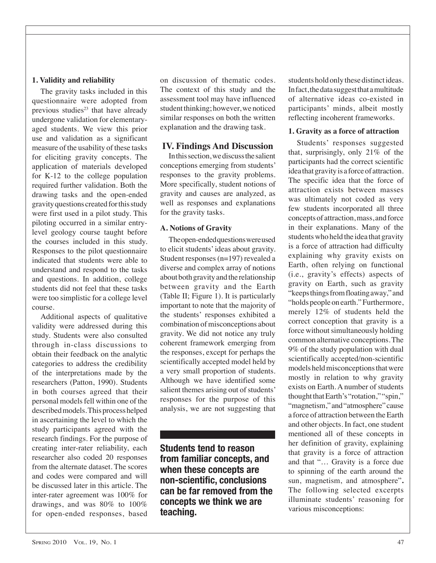**1. Validity and reliability**

questionnaire were adopted from previous studies $23$  that have already undergone validation for elementaryaged students. We view this prior use and validation as a significant measure of the usability of these tasks for eliciting gravity concepts. The application of materials developed for K-12 to the college population required further validation. Both the drawing tasks and the open-ended gravity questions created for this study were first used in a pilot study. This piloting occurred in a similar entrylevel geology course taught before the courses included in this study. Responses to the pilot questionnaire indicated that students were able to understand and respond to the tasks and questions. In addition, college students did not feel that these tasks were too simplistic for a college level course.

Additional aspects of qualitative validity were addressed during this study. Students were also consulted through in-class discussions to obtain their feedback on the analytic categories to address the credibility of the interpretations made by the researchers (Patton, 1990). Students in both courses agreed that their personal models fell within one of the described models. This process helped in ascertaining the level to which the study participants agreed with the research findings. For the purpose of creating inter-rater reliability, each researcher also coded 20 responses from the alternate dataset. The scores and codes were compared and will be discussed later in this article. The inter-rater agreement was 100% for drawings, and was 80% to 100% for open-ended responses, based on discussion of thematic codes. The context of this study and the assessment tool may have influenced student thinking; however, we noticed similar responses on both the written explanation and the drawing task.

## **IV. Findings And Discussion**

In this section, we discuss the salient conceptions emerging from students' responses to the gravity problems. More specifically, student notions of gravity and causes are analyzed, as well as responses and explanations for the gravity tasks.

### **A. Notions of Gravity**

The open-ended questions were used to elicit students' ideas about gravity. Student responses (n=197) revealed a diverse and complex array of notions about both gravity and the relationship between gravity and the Earth (Table II; Figure 1). It is particularly important to note that the majority of the students' responses exhibited a combination of misconceptions about gravity. We did not notice any truly coherent framework emerging from the responses, except for perhaps the scientifically accepted model held by a very small proportion of students. Although we have identified some salient themes arising out of students' responses for the purpose of this analysis, we are not suggesting that

**Students tend to reason from familiar concepts, and when these concepts are non-scientific, conclusions can be far removed from the concepts we think we are teaching.**

students hold only these distinct ideas. In fact, the data suggest that a multitude of alternative ideas co-existed in participants' minds, albeit mostly reflecting incoherent frameworks.

#### **1. Gravity as a force of attraction**

Students' responses suggested that, surprisingly, only 21% of the participants had the correct scientific idea that gravity is a force of attraction. The specific idea that the force of attraction exists between masses was ultimately not coded as very few students incorporated all three concepts of attraction, mass, and force in their explanations. Many of the students who held the idea that gravity is a force of attraction had difficulty explaining why gravity exists on Earth, often relying on functional (i.e., gravity's effects) aspects of gravity on Earth, such as gravity "keeps things from floating away," and "holds people on earth." Furthermore, merely 12% of students held the correct conception that gravity is a force without simultaneously holding common alternative conceptions. The 9% of the study population with dual scientifically accepted/non-scientific models held misconceptions that were mostly in relation to why gravity exists on Earth. A number of students thought that Earth's "rotation," "spin," "magnetism," and "atmosphere" cause a force of attraction between the Earth and other objects. In fact, one student mentioned all of these concepts in her definition of gravity, explaining that gravity is a force of attraction and that "… Gravity is a force due to spinning of the earth around the sun, magnetism, and atmosphere"**.** The following selected excerpts illuminate students' reasoning for various misconceptions: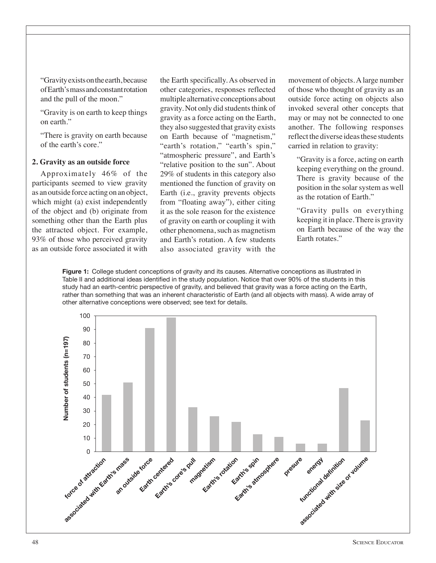"Gravity exists on the earth, because of Earth's mass and constant rotation and the pull of the moon."

"Gravity is on earth to keep things on earth."

"There is gravity on earth because of the earth's core."

#### **2. Gravity as an outside force**

Approximately 46% of the participants seemed to view gravity as an outside force acting on an object, which might (a) exist independently of the object and (b) originate from something other than the Earth plus the attracted object. For example, 93% of those who perceived gravity as an outside force associated it with the Earth specifically. As observed in other categories, responses reflected multiple alternative conceptions about gravity. Not only did students think of gravity as a force acting on the Earth, they also suggested that gravity exists on Earth because of "magnetism," "earth's rotation," "earth's spin," "atmospheric pressure", and Earth's "relative position to the sun". About 29% of students in this category also mentioned the function of gravity on Earth (i.e., gravity prevents objects from "floating away"), either citing it as the sole reason for the existence of gravity on earth or coupling it with other phenomena, such as magnetism and Earth's rotation. A few students also associated gravity with the

movement of objects. A large number of those who thought of gravity as an outside force acting on objects also invoked several other concepts that may or may not be connected to one another. The following responses reflect the diverse ideas these students carried in relation to gravity:

"Gravity is a force, acting on earth keeping everything on the ground. There is gravity because of the position in the solar system as well as the rotation of Earth."

"Gravity pulls on everything keeping it in place. There is gravity on Earth because of the way the Earth rotates."

**Figure 1:** College student conceptions of gravity and its causes. Alternative conceptions as illustrated in Table II and additional ideas identified in the study population. Notice that over 90% of the students in this study had an earth-centric perspective of gravity, and believed that gravity was a force acting on the Earth, rather than something that was an inherent characteristic of Earth (and all objects with mass). A wide array of other alternative conceptions were observed; see text for details.

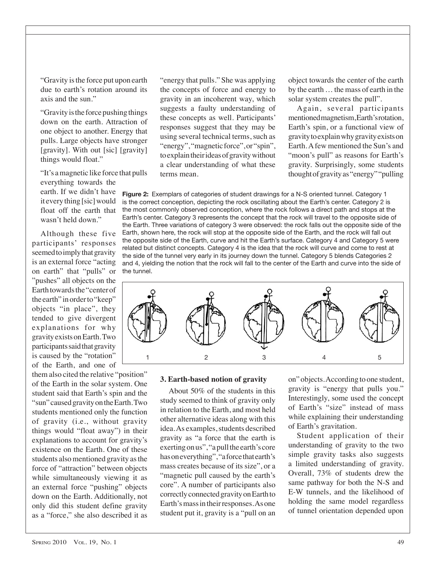"Gravity is the force put upon earth due to earth's rotation around its axis and the sun."

"Gravity is the force pushing things down on the earth. Attraction of one object to another. Energy that pulls. Large objects have stronger [gravity]. With out [sic] [gravity] things would float."

"It's a magnetic like force that pulls everything towards the earth. If we didn't have it every thing [sic] would float off the earth that wasn't held down."

Although these five participants' responses seemed to imply that gravity is an external force "acting on earth" that "pulls" or "pushes" all objects on the Earth towards the "center of the earth" in order to "keep" objects "in place", they tended to give divergent explanations for why gravity exists on Earth. Two participants said that gravity is caused by the "rotation" of the Earth, and one of

them also cited the relative "position" of the Earth in the solar system. One student said that Earth's spin and the "sun" caused gravity on the Earth. Two students mentioned only the function of gravity (i.e., without gravity things would "float away") in their explanations to account for gravity's existence on the Earth. One of these students also mentioned gravity as the force of "attraction" between objects while simultaneously viewing it as an external force "pushing" objects down on the Earth. Additionally, not only did this student define gravity as a "force," she also described it as

"energy that pulls." She was applying the concepts of force and energy to gravity in an incoherent way, which suggests a faulty understanding of these concepts as well. Participants' responses suggest that they may be using several technical terms, such as "energy", "magnetic force", or "spin", to explain their ideas of gravity without a clear understanding of what these terms mean.

object towards the center of the earth by the earth … the mass of earth in the solar system creates the pull".

Again, several participants mentioned magnetism, Earth's rotation, Earth's spin, or a functional view of gravity to explain why gravity exists on Earth. A few mentioned the Sun's and "moon's pull" as reasons for Earth's gravity. Surprisingly, some students thought of gravity as "energy" "pulling

**Figure 2:** Exemplars of categories of student drawings for a N-S oriented tunnel. Category 1 is the correct conception, depicting the rock oscillating about the Earth's center. Category 2 is the most commonly observed conception, where the rock follows a direct path and stops at the Earth's center. Category 3 represents the concept that the rock will travel to the opposite side of the Earth. Three variations of category 3 were observed: the rock falls out the opposite side of the Earth, shown here, the rock will stop at the opposite side of the Earth, and the rock will fall out the opposite side of the Earth, curve and hit the Earth's surface. Category 4 and Category 5 were related but distinct concepts. Category 4 is the idea that the rock will curve and come to rest at the side of the tunnel very early in its journey down the tunnel. Category 5 blends Categories 2 and 4, yielding the notion that the rock will fall to the center of the Earth and curve into the side of the tunnel.



#### **3. Earth-based notion of gravity**

About 50% of the students in this study seemed to think of gravity only in relation to the Earth, and most held other alternative ideas along with this idea. As examples, students described gravity as "a force that the earth is exerting on us", "a pull the earth's core has on everything", "a force that earth's mass creates because of its size", or a "magnetic pull caused by the earth's core". A number of participants also correctly connected gravity on Earth to Earth's mass in their responses. As one student put it, gravity is a "pull on an

on" objects. According to one student, gravity is "energy that pulls you." Interestingly, some used the concept of Earth's "size" instead of mass while explaining their understanding of Earth's gravitation.

Student application of their understanding of gravity to the two simple gravity tasks also suggests a limited understanding of gravity. Overall, 73% of students drew the same pathway for both the N-S and E-W tunnels, and the likelihood of holding the same model regardless of tunnel orientation depended upon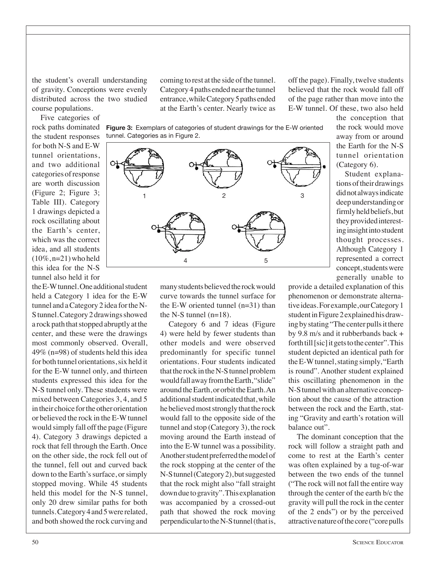the student's overall understanding of gravity. Conceptions were evenly distributed across the two studied course populations.

Five categories of rock paths dominated the student responses for both N-S and E-W tunnel orientations, and two additional categories of response are worth discussion (Figure 2; Figure 3; Table III). Category 1 drawings depicted a rock oscillating about the Earth's center, which was the correct idea, and all students  $(10\%, n=21)$  who held this idea for the N-S tunnel also held it for

the E-W tunnel. One additional student held a Category 1 idea for the E-W tunnel and a Category 2 idea for the N-S tunnel. Category 2 drawings showed a rock path that stopped abruptly at the center, and these were the drawings most commonly observed. Overall, 49% (n=98) of students held this idea for both tunnel orientations, six held it for the E-W tunnel only, and thirteen students expressed this idea for the N-S tunnel only. These students were mixed between Categories 3, 4, and 5 in their choice for the other orientation or believed the rock in the E-W tunnel would simply fall off the page (Figure 4). Category 3 drawings depicted a rock that fell through the Earth. Once on the other side, the rock fell out of the tunnel, fell out and curved back down to the Earth's surface, or simply stopped moving. While 45 students held this model for the N-S tunnel, only 20 drew similar paths for both tunnels. Category 4 and 5 were related, and both showed the rock curving and

coming to rest at the side of the tunnel. Category 4 paths ended near the tunnel entrance, while Category 5 paths ended at the Earth's center. Nearly twice as

off the page). Finally, twelve students believed that the rock would fall off of the page rather than move into the E-W tunnel. Of these, two also held

**Figure 3:** Exemplars of categories of student drawings for the E-W oriented tunnel. Categories as in Figure 2.



many students believed the rock would curve towards the tunnel surface for the E-W oriented tunnel (n=31) than the N-S tunnel  $(n=18)$ .

Category 6 and 7 ideas (Figure 4) were held by fewer students than other models and were observed predominantly for specific tunnel orientations. Four students indicated that the rock in the N-S tunnel problem would fall away from the Earth, "slide" around the Earth, or orbit the Earth. An additional student indicated that, while he believed most strongly that the rock would fall to the opposite side of the tunnel and stop (Category 3), the rock moving around the Earth instead of into the E-W tunnel was a possibility. Another student preferred the model of the rock stopping at the center of the N-S tunnel (Category 2), but suggested that the rock might also "fall straight down due to gravity". This explanation was accompanied by a crossed-out path that showed the rock moving perpendicular to the N-S tunnel (that is,

the conception that the rock would move away from or around the Earth for the N-S tunnel orientation (Category 6).

Student explanations of their drawings did not always indicate deep understanding or firmly held beliefs, but they provided interesting insight into student thought processes. Although Category 1 represented a correct concept, students were generally unable to

provide a detailed explanation of this phenomenon or demonstrate alternative ideas. For example, our Category 1 student in Figure 2 explained his drawing by stating "The center pulls it there by 9.8 m/s and it rubberbands back + forth till [sic] it gets to the center". This student depicted an identical path for the E-W tunnel, stating simply, "Earth is round". Another student explained this oscillating phenomenon in the N-S tunnel with an alternative conception about the cause of the attraction between the rock and the Earth, stating "Gravity and earth's rotation will balance out".

The dominant conception that the rock will follow a straight path and come to rest at the Earth's center was often explained by a tug-of-war between the two ends of the tunnel ("The rock will not fall the entire way through the center of the earth b/c the gravity will pull the rock in the center of the 2 ends") or by the perceived attractive nature of the core ("core pulls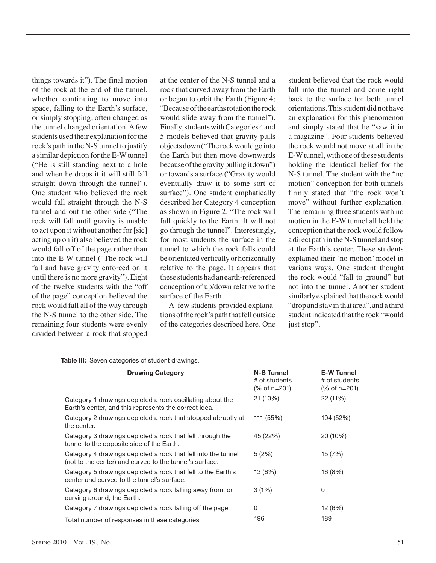things towards it"). The final motion of the rock at the end of the tunnel, whether continuing to move into space, falling to the Earth's surface, or simply stopping, often changed as the tunnel changed orientation. A few students used their explanation for the rock's path in the N-S tunnel to justify a similar depiction for the E-W tunnel ("He is still standing next to a hole and when he drops it it will still fall straight down through the tunnel"). One student who believed the rock would fall straight through the N-S tunnel and out the other side ("The rock will fall until gravity is unable to act upon it without another for [sic] acting up on it) also believed the rock would fall off of the page rather than into the E-W tunnel ("The rock will fall and have gravity enforced on it until there is no more gravity"). Eight of the twelve students with the "off of the page" conception believed the rock would fall all of the way through the N-S tunnel to the other side. The remaining four students were evenly divided between a rock that stopped

at the center of the N-S tunnel and a rock that curved away from the Earth or began to orbit the Earth (Figure 4; "Because of the earths rotation the rock would slide away from the tunnel"). Finally, students with Categories 4 and 5 models believed that gravity pulls objects down ("The rock would go into the Earth but then move downwards because of the gravity pulling it down") or towards a surface ("Gravity would eventually draw it to some sort of surface"). One student emphatically described her Category 4 conception as shown in Figure 2, "The rock will fall quickly to the Earth. It will not go through the tunnel". Interestingly, for most students the surface in the tunnel to which the rock falls could be orientated vertically or horizontally relative to the page. It appears that these students had an earth-referenced conception of up/down relative to the surface of the Earth.

A few students provided explanations of the rock's path that fell outside of the categories described here. One

student believed that the rock would fall into the tunnel and come right back to the surface for both tunnel orientations. This student did not have an explanation for this phenomenon and simply stated that he "saw it in a magazine". Four students believed the rock would not move at all in the E-W tunnel, with one of these students holding the identical belief for the N-S tunnel. The student with the "no motion" conception for both tunnels firmly stated that "the rock won't move" without further explanation. The remaining three students with no motion in the E-W tunnel all held the conception that the rock would follow a direct path in the N-S tunnel and stop at the Earth's center. These students explained their 'no motion' model in various ways. One student thought the rock would "fall to ground" but not into the tunnel. Another student similarly explained that the rock would "drop and stay in that area", and a third student indicated that the rock "would just stop".

| <b>Drawing Category</b>                                                                                                  | <b>N-S Tunnel</b><br># of students<br>(% of n=201) | <b>E-W Tunnel</b><br># of students<br>(% of n=201) |
|--------------------------------------------------------------------------------------------------------------------------|----------------------------------------------------|----------------------------------------------------|
| Category 1 drawings depicted a rock oscillating about the<br>Earth's center, and this represents the correct idea.       | 21 (10%)                                           | 22 (11%)                                           |
| Category 2 drawings depicted a rock that stopped abruptly at<br>the center.                                              | 111 (55%)                                          | 104 (52%)                                          |
| Category 3 drawings depicted a rock that fell through the<br>tunnel to the opposite side of the Earth.                   | 45 (22%)                                           | 20 (10%)                                           |
| Category 4 drawings depicted a rock that fell into the tunnel<br>(not to the center) and curved to the tunnel's surface. | 5(2%)                                              | 15 (7%)                                            |
| Category 5 drawings depicted a rock that fell to the Earth's<br>center and curved to the tunnel's surface.               | 13 (6%)                                            | 16 (8%)                                            |
| Category 6 drawings depicted a rock falling away from, or<br>curving around, the Earth.                                  | 3(1%)                                              | 0                                                  |
| Category 7 drawings depicted a rock falling off the page.                                                                | 0                                                  | 12 (6%)                                            |
| Total number of responses in these categories                                                                            | 196                                                | 189                                                |

**Table III:** Seven categories of student drawings.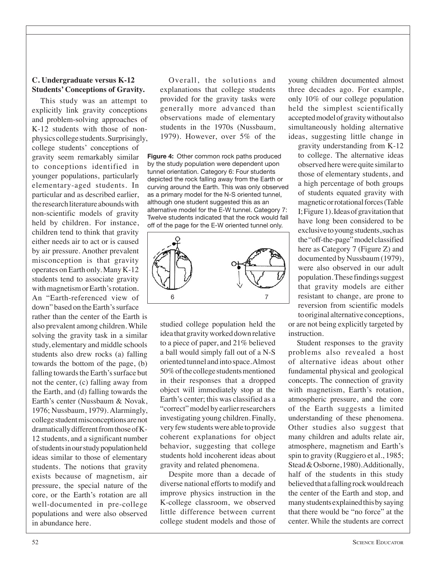## **C. Undergraduate versus K-12 Students' Conceptions of Gravity.**

This study was an attempt to explicitly link gravity conceptions and problem-solving approaches of K-12 students with those of nonphysics college students. Surprisingly, college students' conceptions of gravity seem remarkably similar to conceptions identified in younger populations, particularly elementary-aged students. In particular and as described earlier, the research literature abounds with non-scientific models of gravity held by children. For instance, children tend to think that gravity either needs air to act or is caused by air pressure. Another prevalent misconception is that gravity operates on Earth only. Many K-12 students tend to associate gravity with magnetism or Earth's rotation. An "Earth-referenced view of down" based on the Earth's surface

rather than the center of the Earth is also prevalent among children. While solving the gravity task in a similar study, elementary and middle schools students also drew rocks (a) falling towards the bottom of the page, (b) falling towards the Earth's surface but not the center, (c) falling away from the Earth, and (d) falling towards the Earth's center (Nussbaum & Novak, 1976; Nussbaum, 1979). Alarmingly, college student misconceptions are not dramatically different from those of K-12 students, and a significant number of students in our study population held ideas similar to those of elementary students. The notions that gravity exists because of magnetism, air pressure, the special nature of the core, or the Earth's rotation are all well-documented in pre-college populations and were also observed in abundance here.

Overall, the solutions and explanations that college students provided for the gravity tasks were generally more advanced than observations made of elementary students in the 1970s (Nussbaum, 1979). However, over 5% of the

**Figure 4:** Other common rock paths produced by the study population were dependent upon tunnel orientation. Category 6: Four students depicted the rock falling away from the Earth or curving around the Earth. This was only observed as a primary model for the N-S oriented tunnel, although one student suggested this as an alternative model for the E-W tunnel. Category 7: Twelve students indicated that the rock would fall off of the page for the E-W oriented tunnel only.



studied college population held the idea that gravity worked down relative to a piece of paper, and 21% believed a ball would simply fall out of a N-S oriented tunnel and into space. Almost 50% of the college students mentioned in their responses that a dropped object will immediately stop at the Earth's center; this was classified as a "correct" model by earlier researchers investigating young children. Finally, very few students were able to provide coherent explanations for object behavior, suggesting that college students hold incoherent ideas about gravity and related phenomena.

Despite more than a decade of diverse national efforts to modify and improve physics instruction in the K-college classroom, we observed little difference between current college student models and those of

young children documented almost three decades ago. For example, only 10% of our college population held the simplest scientifically accepted model of gravity without also simultaneously holding alternative ideas, suggesting little change in

gravity understanding from K-12 to college. The alternative ideas observed here were quite similar to those of elementary students, and a high percentage of both groups of students equated gravity with magnetic or rotational forces (Table I; Figure 1). Ideas of gravitation that have long been considered to be exclusive to young students, such as the "off-the-page" model classified here as Category 7 (Figure Z) and documented by Nussbaum (1979), were also observed in our adult population. These findings suggest that gravity models are either resistant to change, are prone to reversion from scientific models to original alternative conceptions,

or are not being explicitly targeted by instruction.

Student responses to the gravity problems also revealed a host of alternative ideas about other fundamental physical and geological concepts. The connection of gravity with magnetism, Earth's rotation, atmospheric pressure, and the core of the Earth suggests a limited understanding of these phenomena. Other studies also suggest that many children and adults relate air, atmosphere, magnetism and Earth's spin to gravity (Ruggiero et al., 1985; Stead & Osborne, 1980). Additionally, half of the students in this study believed that a falling rock would reach the center of the Earth and stop, and many students explained this by saying that there would be "no force" at the center. While the students are correct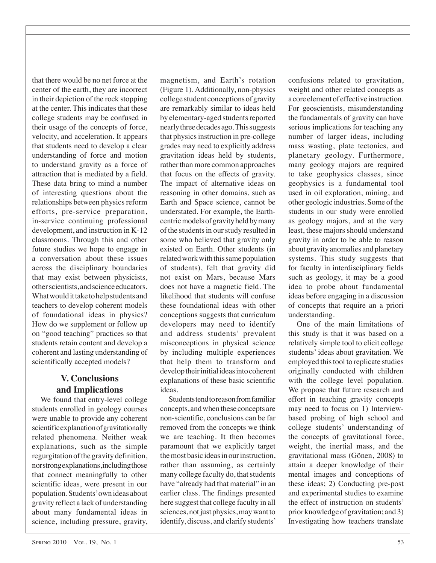that there would be no net force at the center of the earth, they are incorrect in their depiction of the rock stopping at the center. This indicates that these college students may be confused in their usage of the concepts of force, velocity, and acceleration. It appears that students need to develop a clear understanding of force and motion to understand gravity as a force of attraction that is mediated by a field. These data bring to mind a number of interesting questions about the relationships between physics reform efforts, pre-service preparation, in-service continuing professional development, and instruction in K-12 classrooms. Through this and other future studies we hope to engage in a conversation about these issues across the disciplinary boundaries that may exist between physicists, other scientists, and science educators. What would it take to help students and teachers to develop coherent models of foundational ideas in physics? How do we supplement or follow up on "good teaching" practices so that students retain content and develop a coherent and lasting understanding of scientifically accepted models?

# **V. Conclusions and Implications**

We found that entry-level college students enrolled in geology courses were unable to provide any coherent scientific explanation of gravitationally related phenomena. Neither weak explanations, such as the simple regurgitation of the gravity definition, nor strong explanations, including those that connect meaningfully to other scientific ideas, were present in our population. Students' own ideas about gravity reflect a lack of understanding about many fundamental ideas in science, including pressure, gravity,

magnetism, and Earth's rotation (Figure 1). Additionally, non-physics college student conceptions of gravity are remarkably similar to ideas held by elementary-aged students reported nearly three decades ago. This suggests that physics instruction in pre-college grades may need to explicitly address gravitation ideas held by students, rather than more common approaches that focus on the effects of gravity. The impact of alternative ideas on reasoning in other domains, such as Earth and Space science, cannot be understated. For example, the Earthcentric models of gravity held by many of the students in our study resulted in some who believed that gravity only existed on Earth. Other students (in related work with this same population of students), felt that gravity did not exist on Mars, because Mars does not have a magnetic field. The likelihood that students will confuse these foundational ideas with other conceptions suggests that curriculum developers may need to identify and address students' prevalent misconceptions in physical science by including multiple experiences that help them to transform and develop their initial ideas into coherent explanations of these basic scientific ideas.

Students tend to reason from familiar concepts, and when these concepts are non-scientific, conclusions can be far removed from the concepts we think we are teaching. It then becomes paramount that we explicitly target the most basic ideas in our instruction, rather than assuming, as certainly many college faculty do, that students have "already had that material" in an earlier class. The findings presented here suggest that college faculty in all sciences, not just physics, may want to identify, discuss, and clarify students'

confusions related to gravitation, weight and other related concepts as a core element of effective instruction. For geoscientists, misunderstanding the fundamentals of gravity can have serious implications for teaching any number of larger ideas, including mass wasting, plate tectonics, and planetary geology. Furthermore, many geology majors are required to take geophysics classes, since geophysics is a fundamental tool used in oil exploration, mining, and other geologic industries. Some of the students in our study were enrolled as geology majors, and at the very least, these majors should understand gravity in order to be able to reason about gravity anomalies and planetary systems. This study suggests that for faculty in interdisciplinary fields such as geology, it may be a good idea to probe about fundamental ideas before engaging in a discussion of concepts that require an a priori understanding.

One of the main limitations of this study is that it was based on a relatively simple tool to elicit college students' ideas about gravitation. We employed this tool to replicate studies originally conducted with children with the college level population. We propose that future research and effort in teaching gravity concepts may need to focus on 1) Interviewbased probing of high school and college students' understanding of the concepts of gravitational force, weight, the inertial mass, and the gravitational mass (Gönen, 2008) to attain a deeper knowledge of their mental images and conceptions of these ideas; 2) Conducting pre-post and experimental studies to examine the effect of instruction on students' prior knowledge of gravitation; and 3) Investigating how teachers translate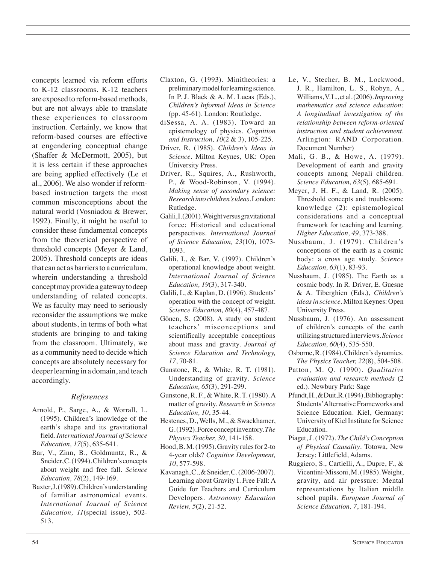concepts learned via reform efforts to K-12 classrooms. K-12 teachers are exposed to reform-based methods, but are not always able to translate these experiences to classroom instruction. Certainly, we know that reform-based courses are effective at engendering conceptual change (Shaffer & McDermott, 2005), but it is less certain if these approaches are being applied effectively (Le et al., 2006). We also wonder if reformbased instruction targets the most common misconceptions about the natural world (Vosniadou & Brewer, 1992). Finally, it might be useful to consider these fundamental concepts from the theoretical perspective of threshold concepts (Meyer & Land, 2005). Threshold concepts are ideas that can act as barriers to a curriculum, wherein understanding a threshold concept may provide a gateway to deep understanding of related concepts. We as faculty may need to seriously reconsider the assumptions we make about students, in terms of both what students are bringing to and taking from the classroom. Ultimately, we as a community need to decide which concepts are absolutely necessary for deeper learning in a domain, and teach accordingly.

#### *References*

- Arnold, P., Sarge, A., & Worrall, L. (1995). Children's knowledge of the earth's shape and its gravitational field. *International Journal of Science Education, 17*(5), 635-641.
- Bar, V., Zinn, B., Goldmuntz, R., & Sneider, C. (1994). Children's concepts about weight and free fall. *Science Education, 78*(2), 149-169.
- Baxter, J. (1989). Children's understanding of familiar astronomical events. *International Journal of Science Education, 11*(special issue), 502- 513.
- Claxton, G. (1993). Minitheories: a preliminary model for learning science. In P. J. Black & A. M. Lucas (Eds.), *Children's Informal Ideas in Science* (pp. 45-61). London: Routledge.
- diSessa, A. A. (1983). Toward an epistemology of physics. *Cognition and Instruction, 10*(2 & 3), 105-225.
- Driver, R. (1985). *Children's Ideas in Science*. Milton Keynes, UK: Open University Press.
- Driver, R., Squires, A., Rushworth, P., & Wood-Robinson, V. (1994). *Making sense of secondary science: Research into children's ideas*. London: Rutledge.
- Galili, I. (2001). Weight versus gravitational force: Historical and educational perspectives. *International Journal of Science Education, 23*(10), 1073- 1093.
- Galili, I., & Bar, V. (1997). Children's operational knowledge about weight. *International Journal of Science Education, 19*(3), 317-340.
- Galili, I., & Kaplan, D. (1996). Students' operation with the concept of weight. *Science Education, 80*(4), 457-487.
- Gönen, S. (2008). A study on student teachers' misconceptions and scientifically acceptable conceptions about mass and gravity. *Journal of Science Education and Technology, 17*, 70-81.
- Gunstone, R., & White, R. T. (1981). Understanding of gravity. *Science Education, 65*(3), 291-299.
- Gunstone, R. F., & White, R. T. (1980). A matter of gravity. *Research in Science Education, 10*, 35-44.
- Hestenes, D., Wells, M., & Swackhamer, G. (1992). Force concept inventory. *The Physics Teacher, 30*, 141-158.
- Hood, B. M. (1995). Gravity rules for 2-to 4-year olds? *Cognitive Development, 10*, 577-598.
- Kavanagh, C., & Sneider, C. (2006-2007). Learning about Gravity I. Free Fall: A Guide for Teachers and Curriculum Developers. *Astronomy Education Review, 5*(2), 21-52.
- Le, V., Stecher, B. M., Lockwood, J. R., Hamilton, L. S., Robyn, A., Williams, V. L., et al. (2006). *Improving mathematics and science education: A longitudinal investigation of the relationship between reform-oriented instruction and student achievement*. Arlington: RAND Corporation. Document Number)
- Mali, G. B., & Howe, A. (1979). Development of earth and gravity concepts among Nepali children. *Science Education, 63*(5), 685-691.
- Meyer, J. H. F., & Land, R. (2005). Threshold concepts and troublesome knowledge (2): epistemological considerations and a conceptual framework for teaching and learning. *Higher Education, 49*, 373-388.
- Nussbaum, J. (1979). Children's conceptions of the earth as a cosmic body: a cross age study. *Science Education, 63*(1), 83-93.
- Nussbaum, J. (1985). The Earth as a cosmic body. In R. Driver, E. Guesne & A. Tiberghien (Eds.), *Children's ideas in science*. Milton Keynes: Open University Press.
- Nussbaum, J. (1976). An assessment of children's concepts of the earth utilizing structured interviews. *Science Education, 60*(4), 535-550.
- Osborne, R. (1984). Children's dynamics. *The Physics Teacher, 22*(8), 504-508.
- Patton, M. Q. (1990). *Qualitative evaluation and research methods* (2 ed.). Newbury Park: Sage
- Pfundt, H., & Duit, R. (1994). Bibliography: Students' Alternative Frameworks and Science Education. Kiel, Germany: University of Kiel Institute for Science Education.
- Piaget, J. (1972). *The Child's Conception of Physical Causality*. Totowa, New Jersey: Littlefield, Adams.
- Ruggiero, S., Cartielli, A., Dupre, F., & Vicentini-Missoni, M. (1985). Weight, gravity, and air pressure: Mental representations by Italian middle school pupils. *European Journal of Science Education, 7*, 181-194.